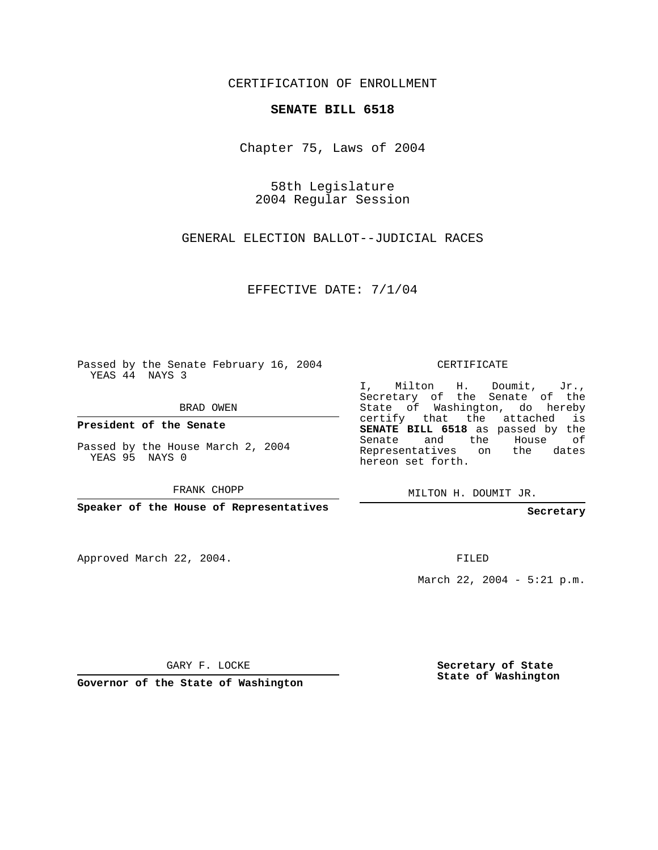CERTIFICATION OF ENROLLMENT

## **SENATE BILL 6518**

Chapter 75, Laws of 2004

58th Legislature 2004 Regular Session

GENERAL ELECTION BALLOT--JUDICIAL RACES

EFFECTIVE DATE: 7/1/04

Passed by the Senate February 16, 2004 YEAS 44 NAYS 3

BRAD OWEN

**President of the Senate**

Passed by the House March 2, 2004 YEAS 95 NAYS 0

FRANK CHOPP

**Speaker of the House of Representatives**

Approved March 22, 2004.

CERTIFICATE

I, Milton H. Doumit, Jr., Secretary of the Senate of the State of Washington, do hereby certify that the attached is **SENATE BILL 6518** as passed by the Senate and the House of Representatives on the dates hereon set forth.

MILTON H. DOUMIT JR.

**Secretary**

FILED

March 22, 2004 - 5:21 p.m.

GARY F. LOCKE

**Governor of the State of Washington**

**Secretary of State State of Washington**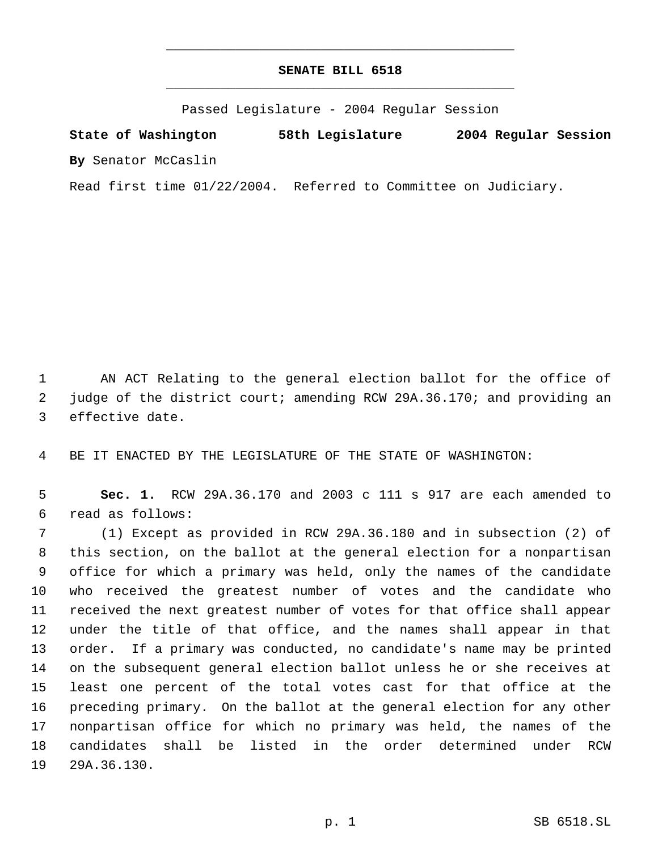## **SENATE BILL 6518** \_\_\_\_\_\_\_\_\_\_\_\_\_\_\_\_\_\_\_\_\_\_\_\_\_\_\_\_\_\_\_\_\_\_\_\_\_\_\_\_\_\_\_\_\_

\_\_\_\_\_\_\_\_\_\_\_\_\_\_\_\_\_\_\_\_\_\_\_\_\_\_\_\_\_\_\_\_\_\_\_\_\_\_\_\_\_\_\_\_\_

Passed Legislature - 2004 Regular Session

**State of Washington 58th Legislature 2004 Regular Session By** Senator McCaslin

Read first time 01/22/2004. Referred to Committee on Judiciary.

 AN ACT Relating to the general election ballot for the office of judge of the district court; amending RCW 29A.36.170; and providing an effective date.

BE IT ENACTED BY THE LEGISLATURE OF THE STATE OF WASHINGTON:

 **Sec. 1.** RCW 29A.36.170 and 2003 c 111 s 917 are each amended to read as follows:

 (1) Except as provided in RCW 29A.36.180 and in subsection (2) of this section, on the ballot at the general election for a nonpartisan office for which a primary was held, only the names of the candidate who received the greatest number of votes and the candidate who received the next greatest number of votes for that office shall appear under the title of that office, and the names shall appear in that order. If a primary was conducted, no candidate's name may be printed on the subsequent general election ballot unless he or she receives at least one percent of the total votes cast for that office at the preceding primary. On the ballot at the general election for any other nonpartisan office for which no primary was held, the names of the candidates shall be listed in the order determined under RCW 29A.36.130.